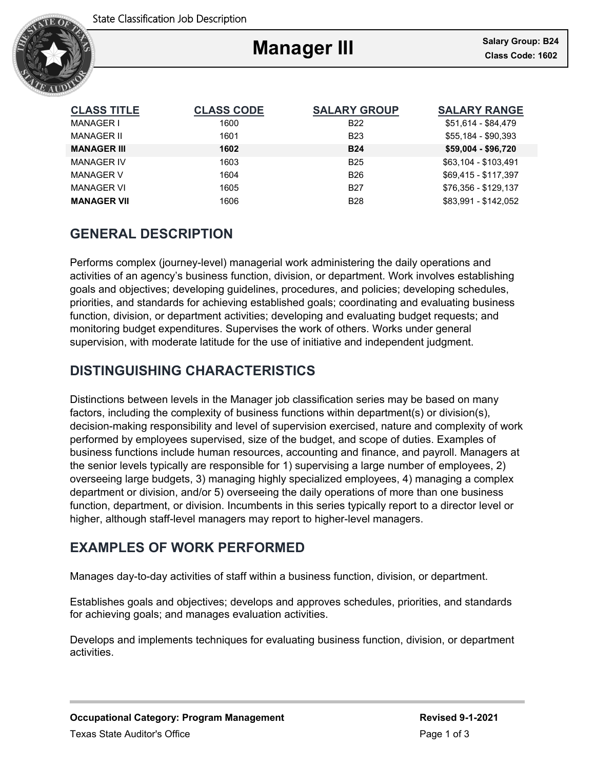

# **Manager III**

Ξ

| <b>CLASS TITLE</b> | <b>CLASS CODE</b> | <b>SALARY GROUP</b> | <b>SALARY RANGE</b>  |
|--------------------|-------------------|---------------------|----------------------|
| MANAGER I          | 1600              | <b>B22</b>          | \$51,614 - \$84,479  |
| MANAGER II         | 1601              | <b>B23</b>          | \$55.184 - \$90.393  |
| <b>MANAGER III</b> | 1602              | <b>B24</b>          | \$59,004 - \$96,720  |
| <b>MANAGER IV</b>  | 1603              | <b>B25</b>          | \$63,104 - \$103,491 |
| <b>MANAGER V</b>   | 1604              | <b>B26</b>          | \$69.415 - \$117.397 |
| <b>MANAGER VI</b>  | 1605              | <b>B27</b>          | \$76.356 - \$129.137 |
| <b>MANAGER VII</b> | 1606              | <b>B28</b>          | \$83.991 - \$142.052 |

# **GENERAL DESCRIPTION**

Performs complex (journey-level) managerial work administering the daily operations and activities of an agency's business function, division, or department. Work involves establishing goals and objectives; developing guidelines, procedures, and policies; developing schedules, priorities, and standards for achieving established goals; coordinating and evaluating business function, division, or department activities; developing and evaluating budget requests; and monitoring budget expenditures. Supervises the work of others. Works under general supervision, with moderate latitude for the use of initiative and independent judgment.

# **DISTINGUISHING CHARACTERISTICS**

Distinctions between levels in the Manager job classification series may be based on many factors, including the complexity of business functions within department(s) or division(s), decision-making responsibility and level of supervision exercised, nature and complexity of work performed by employees supervised, size of the budget, and scope of duties. Examples of business functions include human resources, accounting and finance, and payroll. Managers at the senior levels typically are responsible for 1) supervising a large number of employees, 2) overseeing large budgets, 3) managing highly specialized employees, 4) managing a complex department or division, and/or 5) overseeing the daily operations of more than one business function, department, or division. Incumbents in this series typically report to a director level or higher, although staff-level managers may report to higher-level managers.

# **EXAMPLES OF WORK PERFORMED**

Manages day-to-day activities of staff within a business function, division, or department.

Establishes goals and objectives; develops and approves schedules, priorities, and standards for achieving goals; and manages evaluation activities.

Develops and implements techniques for evaluating business function, division, or department activities.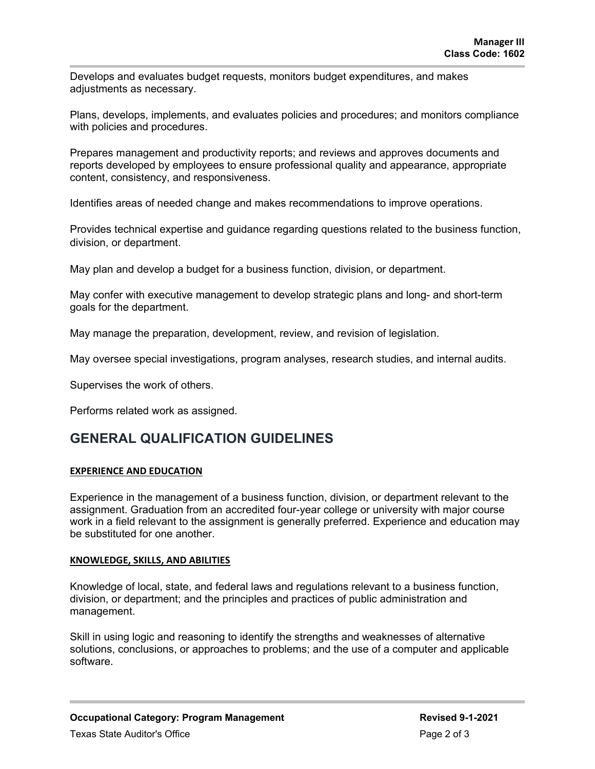Develops and evaluates budget requests, monitors budget expenditures, and makes adjustments as necessary.

Plans, develops, implements, and evaluates policies and procedures; and monitors compliance with policies and procedures.

Prepares management and productivity reports; and reviews and approves documents and reports developed by employees to ensure professional quality and appearance, appropriate content, consistency, and responsiveness.

Identifies areas of needed change and makes recommendations to improve operations.

Provides technical expertise and guidance regarding questions related to the business function, division, or department.

May plan and develop a budget for a business function, division, or department.

May confer with executive management to develop strategic plans and long- and short-term goals for the department.

May manage the preparation, development, review, and revision of legislation.

May oversee special investigations, program analyses, research studies, and internal audits.

Supervises the work of others.

Performs related work as assigned.

### **GENERAL QUALIFICATION GUIDELINES**

### **EXPERIENCE AND EDUCATION**

Experience in the management of a business function, division, or department relevant to the assignment. Graduation from an accredited four-year college or university with major course work in a field relevant to the assignment is generally preferred. Experience and education may be substituted for one another

#### **KNOWLEDGE, SKILLS, AND ABILITIES**

Knowledge of local, state, and federal laws and regulations relevant to a business function, division, or department; and the principles and practices of public administration and management.

Skill in using logic and reasoning to identify the strengths and weaknesses of alternative solutions, conclusions, or approaches to problems; and the use of a computer and applicable software.